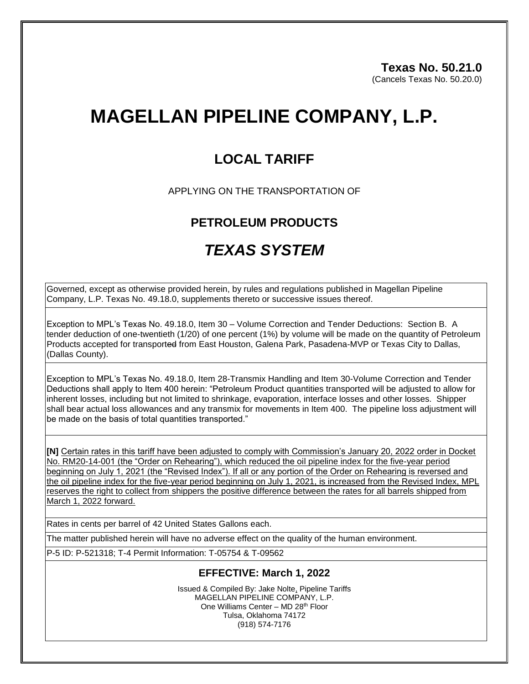# **MAGELLAN PIPELINE COMPANY, L.P.**

## **LOCAL TARIFF**

APPLYING ON THE TRANSPORTATION OF

### **PETROLEUM PRODUCTS**

## *TEXAS SYSTEM*

Governed, except as otherwise provided herein, by rules and regulations published in Magellan Pipeline Company, L.P. Texas No. 49.18.0, supplements thereto or successive issues thereof.

Exception to MPL's Texas No. 49.18.0, Item 30 – Volume Correction and Tender Deductions: Section B. A tender deduction of one-twentieth (1/20) of one percent (1%) by volume will be made on the quantity of Petroleum Products accepted for transported from East Houston, Galena Park, Pasadena-MVP or Texas City to Dallas, (Dallas County).

Exception to MPL's Texas No. 49.18.0, Item 28-Transmix Handling and Item 30-Volume Correction and Tender Deductions shall apply to Item 400 herein: "Petroleum Product quantities transported will be adjusted to allow for inherent losses, including but not limited to shrinkage, evaporation, interface losses and other losses. Shipper shall bear actual loss allowances and any transmix for movements in Item 400. The pipeline loss adjustment will be made on the basis of total quantities transported."

**[N]** Certain rates in this tariff have been adjusted to comply with Commission's January 20, 2022 order in Docket No. RM20-14-001 (the "Order on Rehearing"), which reduced the oil pipeline index for the five-year period beginning on July 1, 2021 (the "Revised Index"). If all or any portion of the Order on Rehearing is reversed and the oil pipeline index for the five-year period beginning on July 1, 2021, is increased from the Revised Index, MPL reserves the right to collect from shippers the positive difference between the rates for all barrels shipped from March 1, 2022 forward.

Rates in cents per barrel of 42 United States Gallons each.

The matter published herein will have no adverse effect on the quality of the human environment.

P-5 ID: P-521318; T-4 Permit Information: T-05754 & T-09562

#### **EFFECTIVE: March 1, 2022**

Issued & Compiled By: Jake Nolte, Pipeline Tariffs MAGELLAN PIPELINE COMPANY, L.P. One Williams Center – MD 28<sup>th</sup> Floor Tulsa, Oklahoma 74172 (918) 574-7176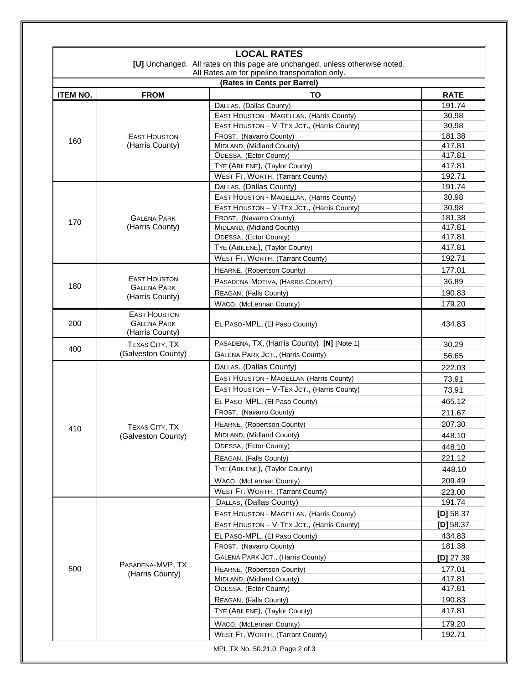|                             |                                                              | [U] Unchanged. All rates on this page are unchanged, unless otherwise noted.<br>All Rates are for pipeline transportation only. |                    |
|-----------------------------|--------------------------------------------------------------|---------------------------------------------------------------------------------------------------------------------------------|--------------------|
| (Rates in Cents per Barrel) |                                                              |                                                                                                                                 |                    |
| <b>ITEM NO.</b>             | <b>FROM</b>                                                  | TO                                                                                                                              | <b>RATE</b>        |
|                             |                                                              | DALLAS, (Dallas County)                                                                                                         | 191.74             |
| 160                         | <b>EAST HOUSTON</b><br>(Harris County)                       | EAST HOUSTON - MAGELLAN, (Harris County)                                                                                        | 30.98              |
|                             |                                                              | EAST HOUSTON - V-TEX JCT., (Harris County)                                                                                      | 30.98              |
|                             |                                                              | FROST, (Navarro County)                                                                                                         | 181.38             |
|                             |                                                              | MIDLAND, (Midland County)                                                                                                       | 417.81             |
|                             |                                                              | ODESSA, (Ector County)                                                                                                          | 417.81             |
|                             |                                                              | TYE (ABILENE), (Taylor County)                                                                                                  | 417.81             |
|                             |                                                              | WEST FT. WORTH, (Tarrant County)                                                                                                | 192.71             |
| 170                         | <b>GALENA PARK</b><br>(Harris County)                        | DALLAS, (Dallas County)                                                                                                         | 191.74             |
|                             |                                                              | EAST HOUSTON - MAGELLAN, (Harris County)                                                                                        | 30.98              |
|                             |                                                              | EAST HOUSTON - V-TEX JCT., (Harris County)                                                                                      | 30.98              |
|                             |                                                              | FROST, (Navarro County)                                                                                                         | 181.38<br>417.81   |
|                             |                                                              | MIDLAND, (Midland County)<br>ODESSA, (Ector County)                                                                             | 417.81             |
|                             |                                                              | TYE (ABILENE), (Taylor County)                                                                                                  | 417.81             |
|                             |                                                              | WEST FT. WORTH, (Tarrant County)                                                                                                | 192.71             |
|                             |                                                              |                                                                                                                                 |                    |
| 180                         | <b>EAST HOUSTON</b><br><b>GALENA PARK</b><br>(Harris County) | HEARNE, (Robertson County)                                                                                                      | 177.01             |
|                             |                                                              | PASADENA-MOTIVA, (HARRIS COUNTY)                                                                                                | 36.89              |
|                             |                                                              | REAGAN, (Falls County)                                                                                                          | 190.83             |
|                             |                                                              | WACO, (McLennan County)                                                                                                         | 179.20             |
| 200                         | <b>EAST HOUSTON</b><br><b>GALENA PARK</b><br>(Harris County) | EL PASO-MPL, (El Paso County)                                                                                                   | 434.83             |
|                             | TEXAS CITY, TX                                               | PASADENA, TX, (Harris County) [N] [Note 1]                                                                                      | 30.29              |
| 400                         | (Galveston County)                                           | GALENA PARK JCT., (Harris County)                                                                                               | 56.65              |
| 410                         | <b>TEXAS CITY, TX</b><br>(Galveston County)                  | DALLAS, (Dallas County)                                                                                                         | 222.03             |
|                             |                                                              | EAST HOUSTON - MAGELLAN (Harris County)                                                                                         | 73.91              |
|                             |                                                              | EAST HOUSTON - V-TEX JCT., (Harris County)                                                                                      | 73.91              |
|                             |                                                              | EL PASO-MPL, (El Paso County)                                                                                                   | 465.12             |
|                             |                                                              | FROST, (Navarro County)                                                                                                         | 211.67             |
|                             |                                                              |                                                                                                                                 |                    |
|                             |                                                              | HEARNE, (Robertson County)                                                                                                      | 207.30             |
|                             |                                                              | MIDLAND, (Midland County)                                                                                                       | 448.10             |
|                             |                                                              | ODESSA, (Ector County)                                                                                                          | 448.10             |
|                             |                                                              | REAGAN, (Falls County)                                                                                                          | 221.12             |
|                             |                                                              | TYE (ABILENE), (Taylor County)                                                                                                  | 448.10             |
|                             |                                                              | WACO, (McLennan County)                                                                                                         | 209.49             |
|                             |                                                              | <b>WEST FT. WORTH, (Tarrant County)</b>                                                                                         | 223.00             |
| 500                         | PASADENA-MVP, TX<br>(Harris County)                          | DALLAS, (Dallas County)                                                                                                         | 191.74             |
|                             |                                                              | EAST HOUSTON - MAGELLAN, (Harris County)                                                                                        | $[D]$ 58.37        |
|                             |                                                              | EAST HOUSTON - V-TEX JCT., (Harris County)                                                                                      | $[D]$ 58.37        |
|                             |                                                              | EL PASO-MPL, (El Paso County)                                                                                                   | 434.83             |
|                             |                                                              | FROST, (Navarro County)                                                                                                         | 181.38             |
|                             |                                                              | GALENA PARK JCT., (Harris County)                                                                                               | [ <b>D</b> ] 27.39 |
|                             |                                                              | HEARNE, (Robertson County)                                                                                                      | 177.01             |
|                             |                                                              | MIDLAND, (Midland County)                                                                                                       | 417.81             |
|                             |                                                              | ODESSA, (Ector County)                                                                                                          | 417.81             |
|                             |                                                              | REAGAN, (Falls County)                                                                                                          | 190.83             |
|                             |                                                              | TYE (ABILENE), (Taylor County)                                                                                                  | 417.81             |
|                             |                                                              | WACO, (McLennan County)                                                                                                         | 179.20             |
|                             |                                                              | WEST FT. WORTH, (Tarrant County)                                                                                                | 192.71             |